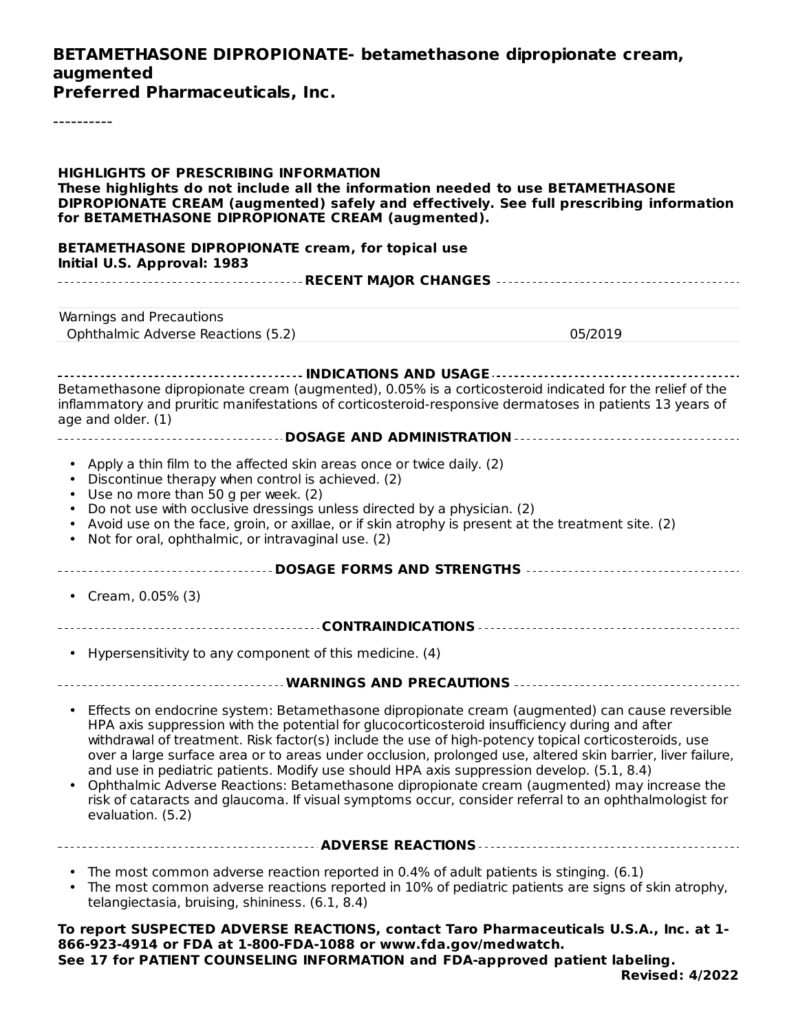#### **BETAMETHASONE DIPROPIONATE- betamethasone dipropionate cream, augmented Preferred Pharmaceuticals, Inc.** ---------- **HIGHLIGHTS OF PRESCRIBING INFORMATION These highlights do not include all the information needed to use BETAMETHASONE DIPROPIONATE CREAM (augmented) safely and effectively. See full prescribing information for BETAMETHASONE DIPROPIONATE CREAM (augmented). BETAMETHASONE DIPROPIONATE cream, for topical use Initial U.S. Approval: 1983 RECENT MAJOR CHANGES** Warnings and Precautions Ophthalmic Adverse Reactions (5.2) 05/2019 **INDICATIONS AND USAGE** Betamethasone dipropionate cream (augmented), 0.05% is a corticosteroid indicated for the relief of the inflammatory and pruritic manifestations of corticosteroid-responsive dermatoses in patients 13 years of age and older. (1) **DOSAGE AND ADMINISTRATION** • Apply a thin film to the affected skin areas once or twice daily. (2) • Discontinue therapy when control is achieved. (2) • Use no more than 50 g per week. (2) • Do not use with occlusive dressings unless directed by a physician. (2) • Avoid use on the face, groin, or axillae, or if skin atrophy is present at the treatment site. (2) • Not for oral, ophthalmic, or intravaginal use. (2) **DOSAGE FORMS AND STRENGTHS** • Cream, 0.05% (3) **CONTRAINDICATIONS** • Hypersensitivity to any component of this medicine. (4) **WARNINGS AND PRECAUTIONS** • Effects on endocrine system: Betamethasone dipropionate cream (augmented) can cause reversible • Ophthalmic Adverse Reactions: Betamethasone dipropionate cream (augmented) may increase the **ADVERSE REACTIONS** • The most common adverse reaction reported in 0.4% of adult patients is stinging. (6.1) • **To report SUSPECTED ADVERSE REACTIONS, contact Taro Pharmaceuticals U.S.A., Inc. at 1- 866-923-4914 or FDA at 1-800-FDA-1088 or www.fda.gov/medwatch.** HPA axis suppression with the potential for glucocorticosteroid insufficiency during and after withdrawal of treatment. Risk factor(s) include the use of high-potency topical corticosteroids, use over a large surface area or to areas under occlusion, prolonged use, altered skin barrier, liver failure, and use in pediatric patients. Modify use should HPA axis suppression develop. (5.1, 8.4) risk of cataracts and glaucoma. If visual symptoms occur, consider referral to an ophthalmologist for evaluation. (5.2) The most common adverse reactions reported in 10% of pediatric patients are signs of skin atrophy, telangiectasia, bruising, shininess. (6.1, 8.4)

**See 17 for PATIENT COUNSELING INFORMATION and FDA-approved patient labeling.**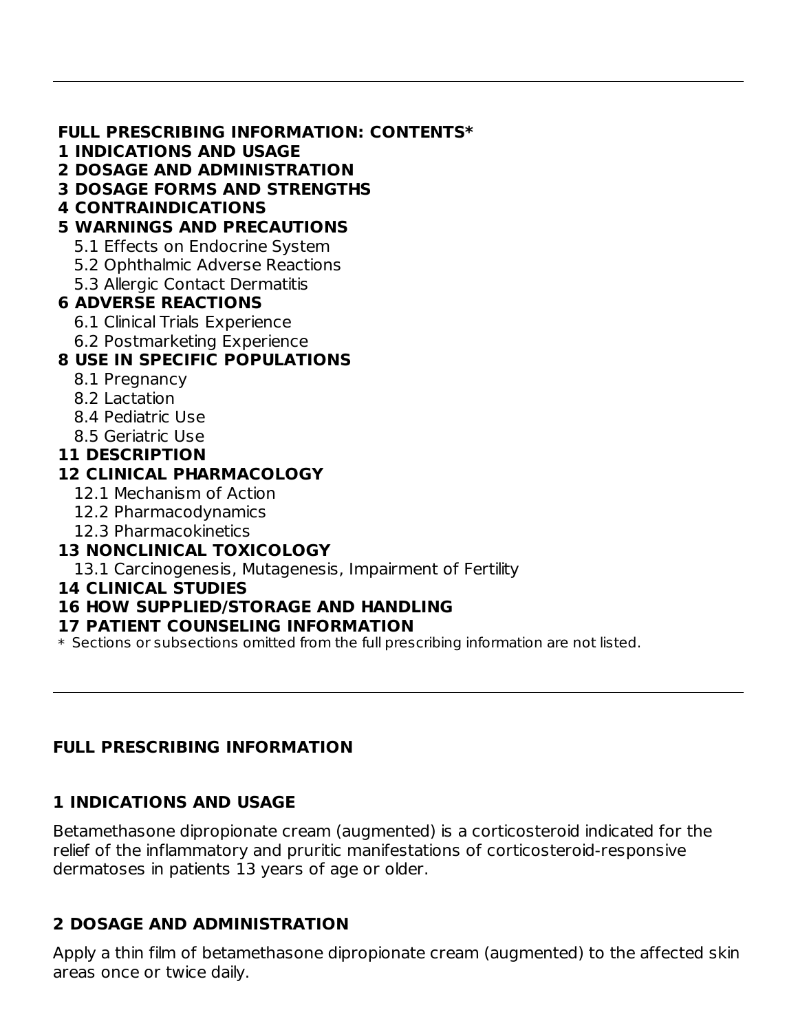#### **FULL PRESCRIBING INFORMATION: CONTENTS\***

- **1 INDICATIONS AND USAGE**
- **2 DOSAGE AND ADMINISTRATION**
- **3 DOSAGE FORMS AND STRENGTHS**
- **4 CONTRAINDICATIONS**

#### **5 WARNINGS AND PRECAUTIONS**

- 5.1 Effects on Endocrine System
- 5.2 Ophthalmic Adverse Reactions
- 5.3 Allergic Contact Dermatitis

## **6 ADVERSE REACTIONS**

- 6.1 Clinical Trials Experience
- 6.2 Postmarketing Experience

## **8 USE IN SPECIFIC POPULATIONS**

- 8.1 Pregnancy
- 8.2 Lactation
- 8.4 Pediatric Use
- 8.5 Geriatric Use

#### **11 DESCRIPTION**

#### **12 CLINICAL PHARMACOLOGY**

- 12.1 Mechanism of Action
- 12.2 Pharmacodynamics
- 12.3 Pharmacokinetics

# **13 NONCLINICAL TOXICOLOGY**

13.1 Carcinogenesis, Mutagenesis, Impairment of Fertility

#### **14 CLINICAL STUDIES**

#### **16 HOW SUPPLIED/STORAGE AND HANDLING**

#### **17 PATIENT COUNSELING INFORMATION**

 $\ast$  Sections or subsections omitted from the full prescribing information are not listed.

## **FULL PRESCRIBING INFORMATION**

## **1 INDICATIONS AND USAGE**

Betamethasone dipropionate cream (augmented) is a corticosteroid indicated for the relief of the inflammatory and pruritic manifestations of corticosteroid-responsive dermatoses in patients 13 years of age or older.

## **2 DOSAGE AND ADMINISTRATION**

Apply a thin film of betamethasone dipropionate cream (augmented) to the affected skin areas once or twice daily.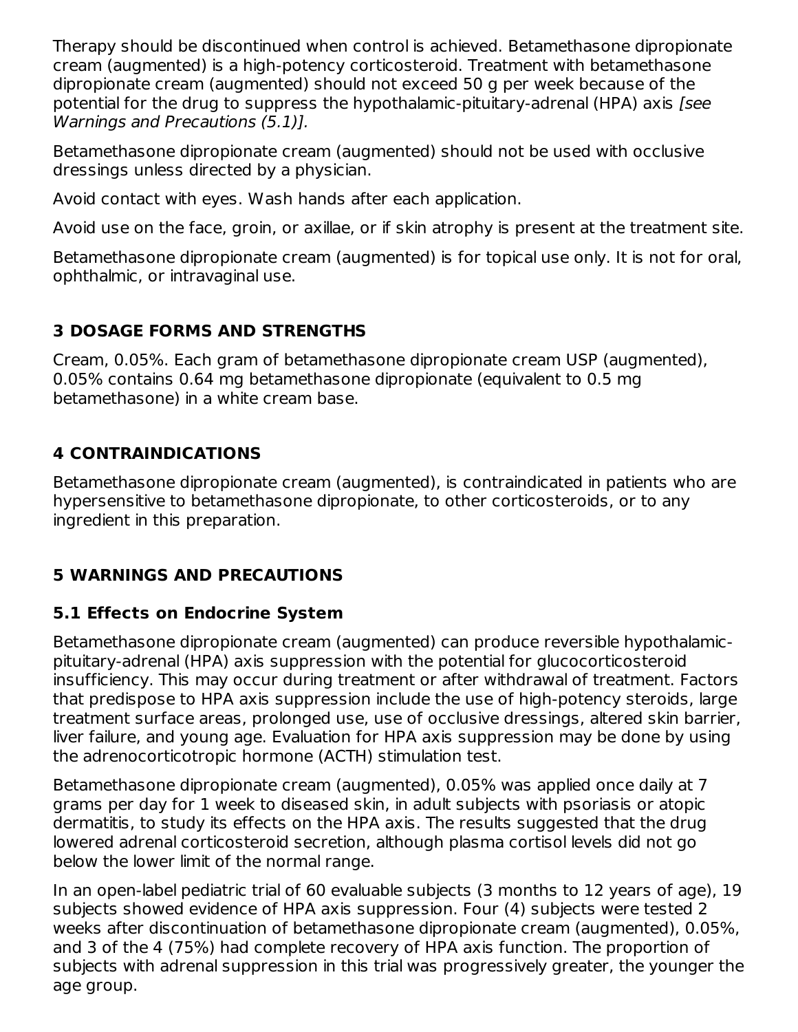Therapy should be discontinued when control is achieved. Betamethasone dipropionate cream (augmented) is a high-potency corticosteroid. Treatment with betamethasone dipropionate cream (augmented) should not exceed 50 g per week because of the potential for the drug to suppress the hypothalamic-pituitary-adrenal (HPA) axis [see Warnings and Precautions (5.1)].

Betamethasone dipropionate cream (augmented) should not be used with occlusive dressings unless directed by a physician.

Avoid contact with eyes. Wash hands after each application.

Avoid use on the face, groin, or axillae, or if skin atrophy is present at the treatment site.

Betamethasone dipropionate cream (augmented) is for topical use only. It is not for oral, ophthalmic, or intravaginal use.

## **3 DOSAGE FORMS AND STRENGTHS**

Cream, 0.05%. Each gram of betamethasone dipropionate cream USP (augmented), 0.05% contains 0.64 mg betamethasone dipropionate (equivalent to 0.5 mg betamethasone) in a white cream base.

#### **4 CONTRAINDICATIONS**

Betamethasone dipropionate cream (augmented), is contraindicated in patients who are hypersensitive to betamethasone dipropionate, to other corticosteroids, or to any ingredient in this preparation.

## **5 WARNINGS AND PRECAUTIONS**

#### **5.1 Effects on Endocrine System**

Betamethasone dipropionate cream (augmented) can produce reversible hypothalamicpituitary-adrenal (HPA) axis suppression with the potential for glucocorticosteroid insufficiency. This may occur during treatment or after withdrawal of treatment. Factors that predispose to HPA axis suppression include the use of high-potency steroids, large treatment surface areas, prolonged use, use of occlusive dressings, altered skin barrier, liver failure, and young age. Evaluation for HPA axis suppression may be done by using the adrenocorticotropic hormone (ACTH) stimulation test.

Betamethasone dipropionate cream (augmented), 0.05% was applied once daily at 7 grams per day for 1 week to diseased skin, in adult subjects with psoriasis or atopic dermatitis, to study its effects on the HPA axis. The results suggested that the drug lowered adrenal corticosteroid secretion, although plasma cortisol levels did not go below the lower limit of the normal range.

In an open-label pediatric trial of 60 evaluable subjects (3 months to 12 years of age), 19 subjects showed evidence of HPA axis suppression. Four (4) subjects were tested 2 weeks after discontinuation of betamethasone dipropionate cream (augmented), 0.05%, and 3 of the 4 (75%) had complete recovery of HPA axis function. The proportion of subjects with adrenal suppression in this trial was progressively greater, the younger the age group.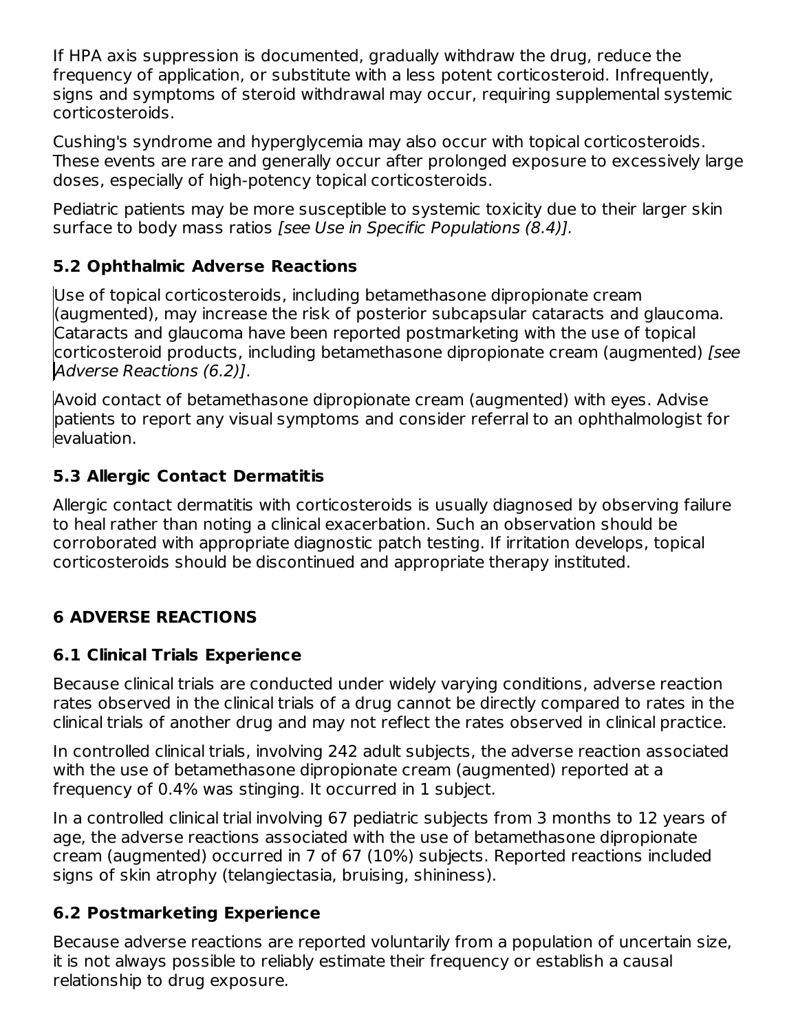If HPA axis suppression is documented, gradually withdraw the drug, reduce the frequency of application, or substitute with a less potent corticosteroid. Infrequently, signs and symptoms of steroid withdrawal may occur, requiring supplemental systemic corticosteroids.

Cushing's syndrome and hyperglycemia may also occur with topical corticosteroids. These events are rare and generally occur after prolonged exposure to excessively large doses, especially of high-potency topical corticosteroids.

Pediatric patients may be more susceptible to systemic toxicity due to their larger skin surface to body mass ratios [see Use in Specific Populations (8.4)].

## **5.2 Ophthalmic Adverse Reactions**

Use of topical corticosteroids, including betamethasone dipropionate cream (augmented), may increase the risk of posterior subcapsular cataracts and glaucoma. Cataracts and glaucoma have been reported postmarketing with the use of topical corticosteroid products, including betamethasone dipropionate cream (augmented) [see Adverse Reactions (6.2)].

Avoid contact of betamethasone dipropionate cream (augmented) with eyes. Advise patients to report any visual symptoms and consider referral to an ophthalmologist for evaluation.

# **5.3 Allergic Contact Dermatitis**

Allergic contact dermatitis with corticosteroids is usually diagnosed by observing failure to heal rather than noting a clinical exacerbation. Such an observation should be corroborated with appropriate diagnostic patch testing. If irritation develops, topical corticosteroids should be discontinued and appropriate therapy instituted.

# **6 ADVERSE REACTIONS**

## **6.1 Clinical Trials Experience**

Because clinical trials are conducted under widely varying conditions, adverse reaction rates observed in the clinical trials of a drug cannot be directly compared to rates in the clinical trials of another drug and may not reflect the rates observed in clinical practice.

In controlled clinical trials, involving 242 adult subjects, the adverse reaction associated with the use of betamethasone dipropionate cream (augmented) reported at a frequency of 0.4% was stinging. It occurred in 1 subject.

In a controlled clinical trial involving 67 pediatric subjects from 3 months to 12 years of age, the adverse reactions associated with the use of betamethasone dipropionate cream (augmented) occurred in 7 of 67 (10%) subjects. Reported reactions included signs of skin atrophy (telangiectasia, bruising, shininess).

## **6.2 Postmarketing Experience**

Because adverse reactions are reported voluntarily from a population of uncertain size, it is not always possible to reliably estimate their frequency or establish a causal relationship to drug exposure.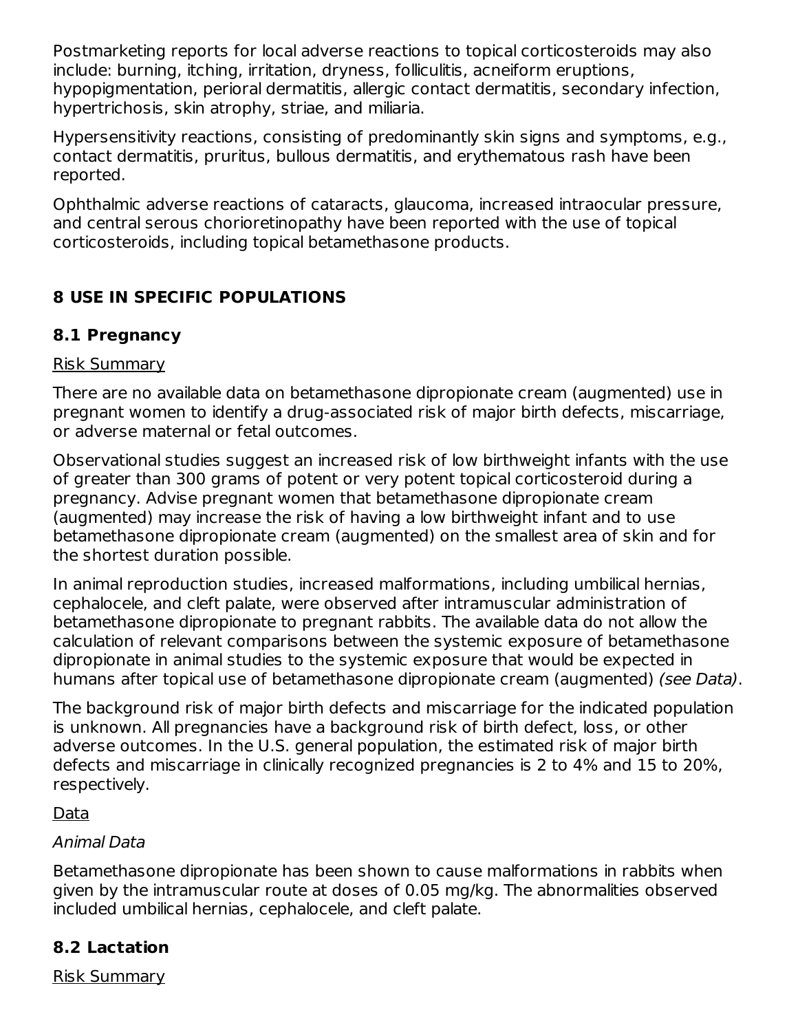Postmarketing reports for local adverse reactions to topical corticosteroids may also include: burning, itching, irritation, dryness, folliculitis, acneiform eruptions, hypopigmentation, perioral dermatitis, allergic contact dermatitis, secondary infection, hypertrichosis, skin atrophy, striae, and miliaria.

Hypersensitivity reactions, consisting of predominantly skin signs and symptoms, e.g., contact dermatitis, pruritus, bullous dermatitis, and erythematous rash have been reported.

Ophthalmic adverse reactions of cataracts, glaucoma, increased intraocular pressure, and central serous chorioretinopathy have been reported with the use of topical corticosteroids, including topical betamethasone products.

# **8 USE IN SPECIFIC POPULATIONS**

#### **8.1 Pregnancy**

#### Risk Summary

There are no available data on betamethasone dipropionate cream (augmented) use in pregnant women to identify a drug-associated risk of major birth defects, miscarriage, or adverse maternal or fetal outcomes.

Observational studies suggest an increased risk of low birthweight infants with the use of greater than 300 grams of potent or very potent topical corticosteroid during a pregnancy. Advise pregnant women that betamethasone dipropionate cream (augmented) may increase the risk of having a low birthweight infant and to use betamethasone dipropionate cream (augmented) on the smallest area of skin and for the shortest duration possible.

In animal reproduction studies, increased malformations, including umbilical hernias, cephalocele, and cleft palate, were observed after intramuscular administration of betamethasone dipropionate to pregnant rabbits. The available data do not allow the calculation of relevant comparisons between the systemic exposure of betamethasone dipropionate in animal studies to the systemic exposure that would be expected in humans after topical use of betamethasone dipropionate cream (augmented) (see Data).

The background risk of major birth defects and miscarriage for the indicated population is unknown. All pregnancies have a background risk of birth defect, loss, or other adverse outcomes. In the U.S. general population, the estimated risk of major birth defects and miscarriage in clinically recognized pregnancies is 2 to 4% and 15 to 20%, respectively.

#### Data

#### Animal Data

Betamethasone dipropionate has been shown to cause malformations in rabbits when given by the intramuscular route at doses of 0.05 mg/kg. The abnormalities observed included umbilical hernias, cephalocele, and cleft palate.

## **8.2 Lactation**

Risk Summary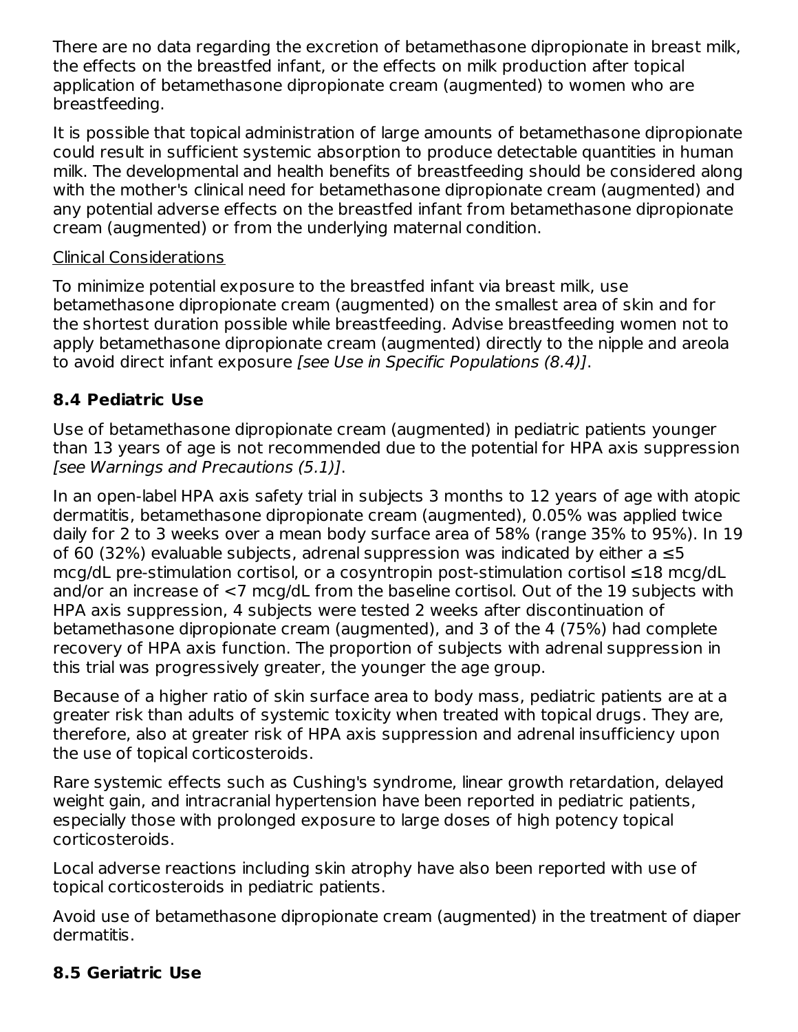There are no data regarding the excretion of betamethasone dipropionate in breast milk, the effects on the breastfed infant, or the effects on milk production after topical application of betamethasone dipropionate cream (augmented) to women who are breastfeeding.

It is possible that topical administration of large amounts of betamethasone dipropionate could result in sufficient systemic absorption to produce detectable quantities in human milk. The developmental and health benefits of breastfeeding should be considered along with the mother's clinical need for betamethasone dipropionate cream (augmented) and any potential adverse effects on the breastfed infant from betamethasone dipropionate cream (augmented) or from the underlying maternal condition.

#### Clinical Considerations

To minimize potential exposure to the breastfed infant via breast milk, use betamethasone dipropionate cream (augmented) on the smallest area of skin and for the shortest duration possible while breastfeeding. Advise breastfeeding women not to apply betamethasone dipropionate cream (augmented) directly to the nipple and areola to avoid direct infant exposure [see Use in Specific Populations (8.4)].

#### **8.4 Pediatric Use**

Use of betamethasone dipropionate cream (augmented) in pediatric patients younger than 13 years of age is not recommended due to the potential for HPA axis suppression [see Warnings and Precautions (5.1)].

In an open-label HPA axis safety trial in subjects 3 months to 12 years of age with atopic dermatitis, betamethasone dipropionate cream (augmented), 0.05% was applied twice daily for 2 to 3 weeks over a mean body surface area of 58% (range 35% to 95%). In 19 of 60 (32%) evaluable subjects, adrenal suppression was indicated by either a ≤5 mcg/dL pre-stimulation cortisol, or a cosyntropin post-stimulation cortisol ≤18 mcg/dL and/or an increase of <7 mcg/dL from the baseline cortisol. Out of the 19 subjects with HPA axis suppression, 4 subjects were tested 2 weeks after discontinuation of betamethasone dipropionate cream (augmented), and 3 of the 4 (75%) had complete recovery of HPA axis function. The proportion of subjects with adrenal suppression in this trial was progressively greater, the younger the age group.

Because of a higher ratio of skin surface area to body mass, pediatric patients are at a greater risk than adults of systemic toxicity when treated with topical drugs. They are, therefore, also at greater risk of HPA axis suppression and adrenal insufficiency upon the use of topical corticosteroids.

Rare systemic effects such as Cushing's syndrome, linear growth retardation, delayed weight gain, and intracranial hypertension have been reported in pediatric patients, especially those with prolonged exposure to large doses of high potency topical corticosteroids.

Local adverse reactions including skin atrophy have also been reported with use of topical corticosteroids in pediatric patients.

Avoid use of betamethasone dipropionate cream (augmented) in the treatment of diaper dermatitis.

## **8.5 Geriatric Use**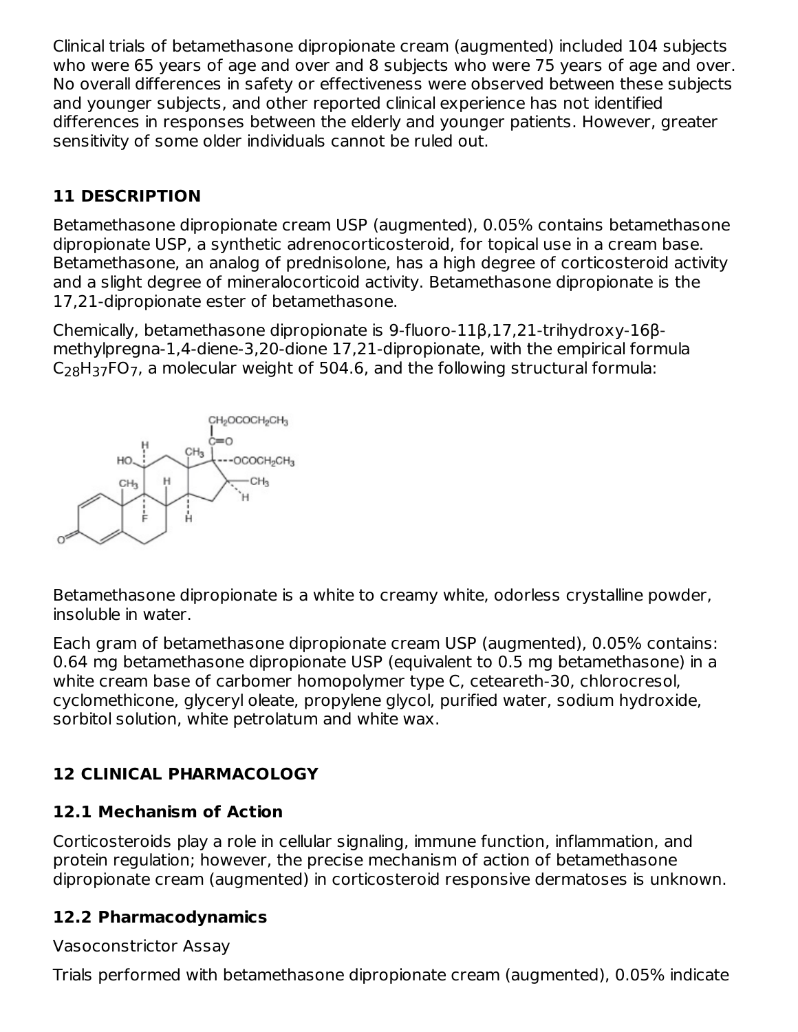Clinical trials of betamethasone dipropionate cream (augmented) included 104 subjects who were 65 years of age and over and 8 subjects who were 75 years of age and over. No overall differences in safety or effectiveness were observed between these subjects and younger subjects, and other reported clinical experience has not identified differences in responses between the elderly and younger patients. However, greater sensitivity of some older individuals cannot be ruled out.

## **11 DESCRIPTION**

Betamethasone dipropionate cream USP (augmented), 0.05% contains betamethasone dipropionate USP, a synthetic adrenocorticosteroid, for topical use in a cream base. Betamethasone, an analog of prednisolone, has a high degree of corticosteroid activity and a slight degree of mineralocorticoid activity. Betamethasone dipropionate is the 17,21-dipropionate ester of betamethasone.

Chemically, betamethasone dipropionate is 9-fluoro-11β,17,21-trihydroxy-16βmethylpregna-1,4-diene-3,20-dione 17,21-dipropionate, with the empirical formula  $C_{28}H_{37}$ FO<sub>7</sub>, a molecular weight of 504.6, and the following structural formula:



Betamethasone dipropionate is a white to creamy white, odorless crystalline powder, insoluble in water.

Each gram of betamethasone dipropionate cream USP (augmented), 0.05% contains: 0.64 mg betamethasone dipropionate USP (equivalent to 0.5 mg betamethasone) in a white cream base of carbomer homopolymer type C, ceteareth-30, chlorocresol, cyclomethicone, glyceryl oleate, propylene glycol, purified water, sodium hydroxide, sorbitol solution, white petrolatum and white wax.

# **12 CLINICAL PHARMACOLOGY**

## **12.1 Mechanism of Action**

Corticosteroids play a role in cellular signaling, immune function, inflammation, and protein regulation; however, the precise mechanism of action of betamethasone dipropionate cream (augmented) in corticosteroid responsive dermatoses is unknown.

## **12.2 Pharmacodynamics**

#### Vasoconstrictor Assay

Trials performed with betamethasone dipropionate cream (augmented), 0.05% indicate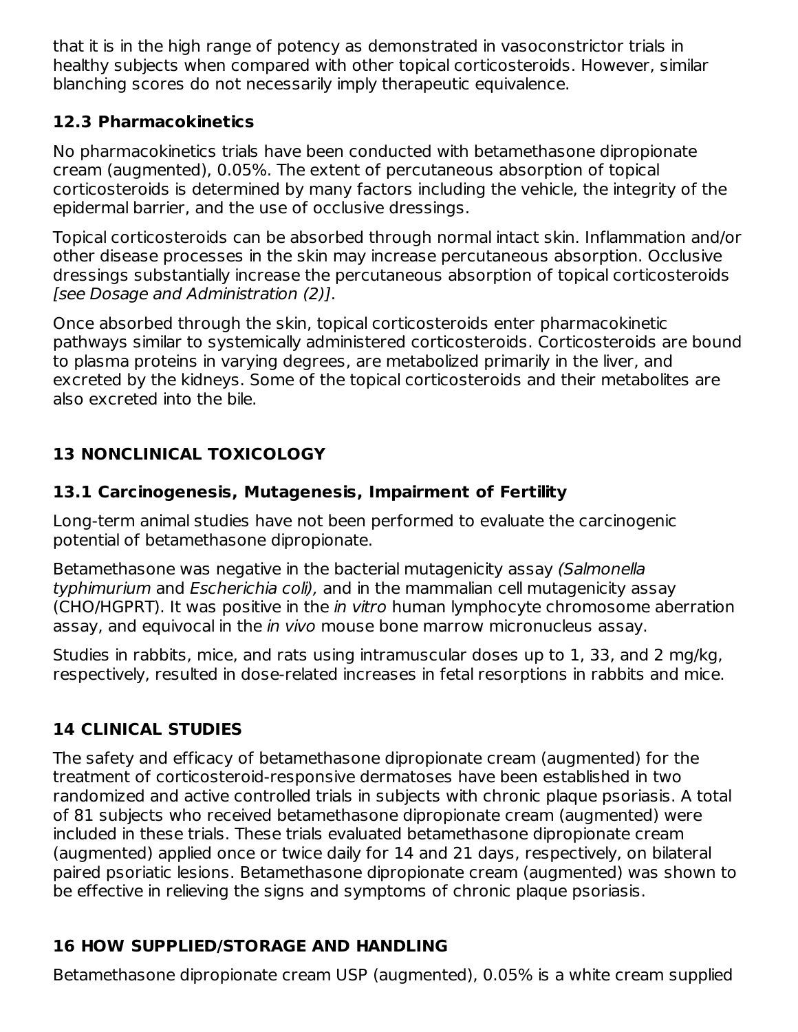that it is in the high range of potency as demonstrated in vasoconstrictor trials in healthy subjects when compared with other topical corticosteroids. However, similar blanching scores do not necessarily imply therapeutic equivalence.

#### **12.3 Pharmacokinetics**

No pharmacokinetics trials have been conducted with betamethasone dipropionate cream (augmented), 0.05%. The extent of percutaneous absorption of topical corticosteroids is determined by many factors including the vehicle, the integrity of the epidermal barrier, and the use of occlusive dressings.

Topical corticosteroids can be absorbed through normal intact skin. Inflammation and/or other disease processes in the skin may increase percutaneous absorption. Occlusive dressings substantially increase the percutaneous absorption of topical corticosteroids [see Dosage and Administration (2)].

Once absorbed through the skin, topical corticosteroids enter pharmacokinetic pathways similar to systemically administered corticosteroids. Corticosteroids are bound to plasma proteins in varying degrees, are metabolized primarily in the liver, and excreted by the kidneys. Some of the topical corticosteroids and their metabolites are also excreted into the bile.

# **13 NONCLINICAL TOXICOLOGY**

# **13.1 Carcinogenesis, Mutagenesis, Impairment of Fertility**

Long-term animal studies have not been performed to evaluate the carcinogenic potential of betamethasone dipropionate.

Betamethasone was negative in the bacterial mutagenicity assay (Salmonella typhimurium and Escherichia coli), and in the mammalian cell mutagenicity assay (CHO/HGPRT). It was positive in the in vitro human lymphocyte chromosome aberration assay, and equivocal in the *in vivo* mouse bone marrow micronucleus assay.

Studies in rabbits, mice, and rats using intramuscular doses up to 1, 33, and 2 mg/kg, respectively, resulted in dose-related increases in fetal resorptions in rabbits and mice.

# **14 CLINICAL STUDIES**

The safety and efficacy of betamethasone dipropionate cream (augmented) for the treatment of corticosteroid-responsive dermatoses have been established in two randomized and active controlled trials in subjects with chronic plaque psoriasis. A total of 81 subjects who received betamethasone dipropionate cream (augmented) were included in these trials. These trials evaluated betamethasone dipropionate cream (augmented) applied once or twice daily for 14 and 21 days, respectively, on bilateral paired psoriatic lesions. Betamethasone dipropionate cream (augmented) was shown to be effective in relieving the signs and symptoms of chronic plaque psoriasis.

# **16 HOW SUPPLIED/STORAGE AND HANDLING**

Betamethasone dipropionate cream USP (augmented), 0.05% is a white cream supplied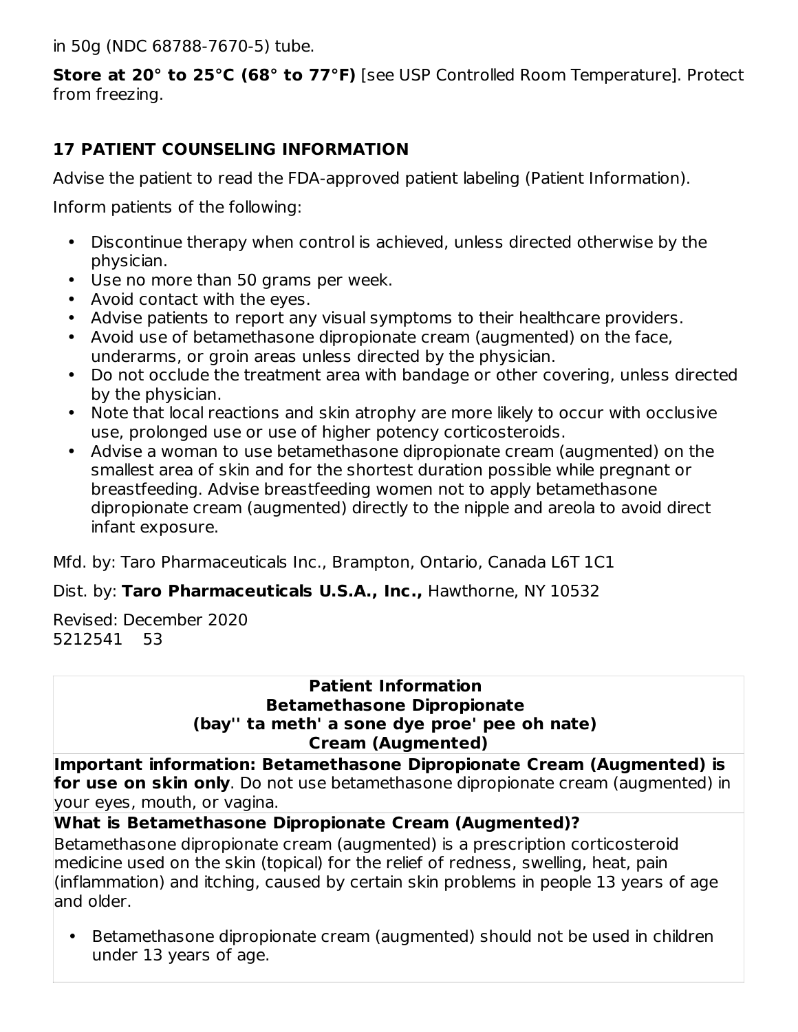in 50g (NDC 68788-7670-5) tube.

**Store at 20° to 25°C (68° to 77°F)** [see USP Controlled Room Temperature]. Protect from freezing.

#### **17 PATIENT COUNSELING INFORMATION**

Advise the patient to read the FDA-approved patient labeling (Patient Information).

Inform patients of the following:

- Discontinue therapy when control is achieved, unless directed otherwise by the physician.
- Use no more than 50 grams per week.
- Avoid contact with the eyes.
- Advise patients to report any visual symptoms to their healthcare providers.
- Avoid use of betamethasone dipropionate cream (augmented) on the face, underarms, or groin areas unless directed by the physician.
- Do not occlude the treatment area with bandage or other covering, unless directed by the physician.
- Note that local reactions and skin atrophy are more likely to occur with occlusive use, prolonged use or use of higher potency corticosteroids.
- Advise a woman to use betamethasone dipropionate cream (augmented) on the smallest area of skin and for the shortest duration possible while pregnant or breastfeeding. Advise breastfeeding women not to apply betamethasone dipropionate cream (augmented) directly to the nipple and areola to avoid direct infant exposure.

Mfd. by: Taro Pharmaceuticals Inc., Brampton, Ontario, Canada L6T 1C1

Dist. by: **Taro Pharmaceuticals U.S.A., Inc.,** Hawthorne, NY 10532

Revised: December 2020 5212541 53

#### **Patient Information Betamethasone Dipropionate (bay'' ta meth' a sone dye proe' pee oh nate) Cream (Augmented)**

**Important information: Betamethasone Dipropionate Cream (Augmented) is for use on skin only**. Do not use betamethasone dipropionate cream (augmented) in your eyes, mouth, or vagina.

**What is Betamethasone Dipropionate Cream (Augmented)?**

Betamethasone dipropionate cream (augmented) is a prescription corticosteroid medicine used on the skin (topical) for the relief of redness, swelling, heat, pain (inflammation) and itching, caused by certain skin problems in people 13 years of age and older.

• Betamethasone dipropionate cream (augmented) should not be used in children under 13 years of age.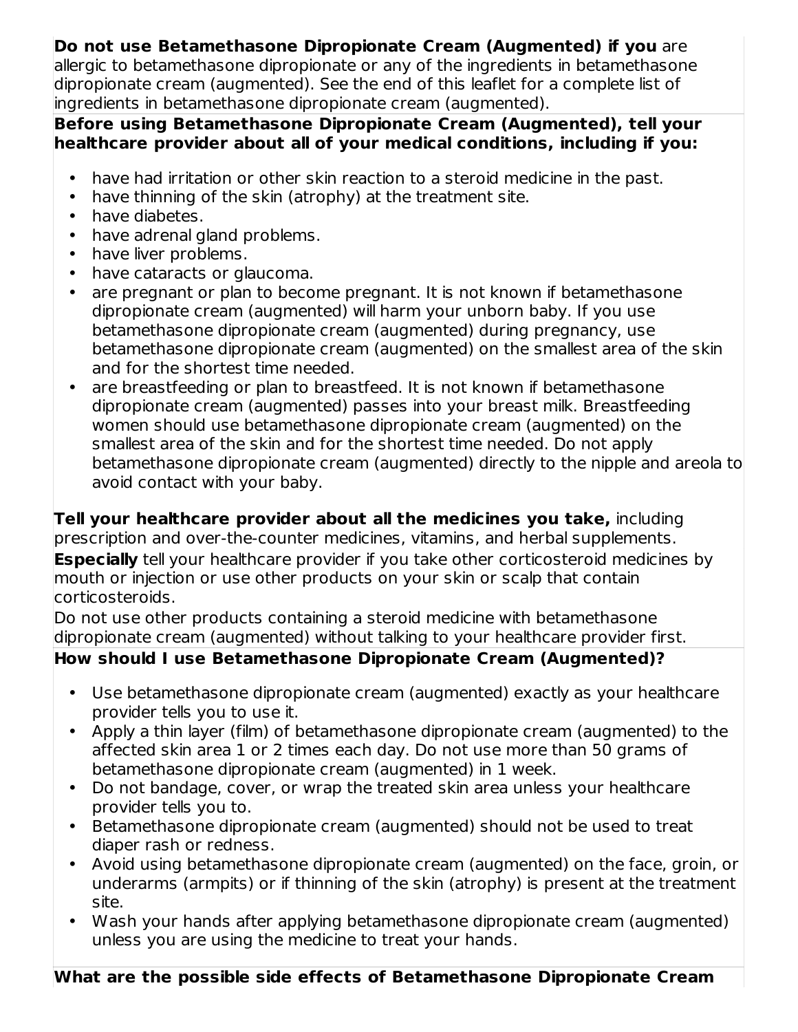#### **Do not use Betamethasone Dipropionate Cream (Augmented) if you** are

allergic to betamethasone dipropionate or any of the ingredients in betamethasone dipropionate cream (augmented). See the end of this leaflet for a complete list of ingredients in betamethasone dipropionate cream (augmented).

#### **Before using Betamethasone Dipropionate Cream (Augmented), tell your healthcare provider about all of your medical conditions, including if you:**

- have had irritation or other skin reaction to a steroid medicine in the past.
- have thinning of the skin (atrophy) at the treatment site.
- $\bullet$ have diabetes.
- have adrenal gland problems.
- have liver problems.
- have cataracts or glaucoma.
- are pregnant or plan to become pregnant. It is not known if betamethasone dipropionate cream (augmented) will harm your unborn baby. If you use betamethasone dipropionate cream (augmented) during pregnancy, use betamethasone dipropionate cream (augmented) on the smallest area of the skin and for the shortest time needed.
- are breastfeeding or plan to breastfeed. It is not known if betamethasone dipropionate cream (augmented) passes into your breast milk. Breastfeeding women should use betamethasone dipropionate cream (augmented) on the smallest area of the skin and for the shortest time needed. Do not apply betamethasone dipropionate cream (augmented) directly to the nipple and areola to avoid contact with your baby.

**Tell your healthcare provider about all the medicines you take,** including prescription and over-the-counter medicines, vitamins, and herbal supplements. **Especially** tell your healthcare provider if you take other corticosteroid medicines by mouth or injection or use other products on your skin or scalp that contain corticosteroids.

Do not use other products containing a steroid medicine with betamethasone dipropionate cream (augmented) without talking to your healthcare provider first.

## **How should I use Betamethasone Dipropionate Cream (Augmented)?**

- Use betamethasone dipropionate cream (augmented) exactly as your healthcare provider tells you to use it.
- Apply a thin layer (film) of betamethasone dipropionate cream (augmented) to the affected skin area 1 or 2 times each day. Do not use more than 50 grams of betamethasone dipropionate cream (augmented) in 1 week.
- Do not bandage, cover, or wrap the treated skin area unless your healthcare provider tells you to.
- Betamethasone dipropionate cream (augmented) should not be used to treat diaper rash or redness.
- Avoid using betamethasone dipropionate cream (augmented) on the face, groin, or underarms (armpits) or if thinning of the skin (atrophy) is present at the treatment site.
- Wash your hands after applying betamethasone dipropionate cream (augmented) unless you are using the medicine to treat your hands.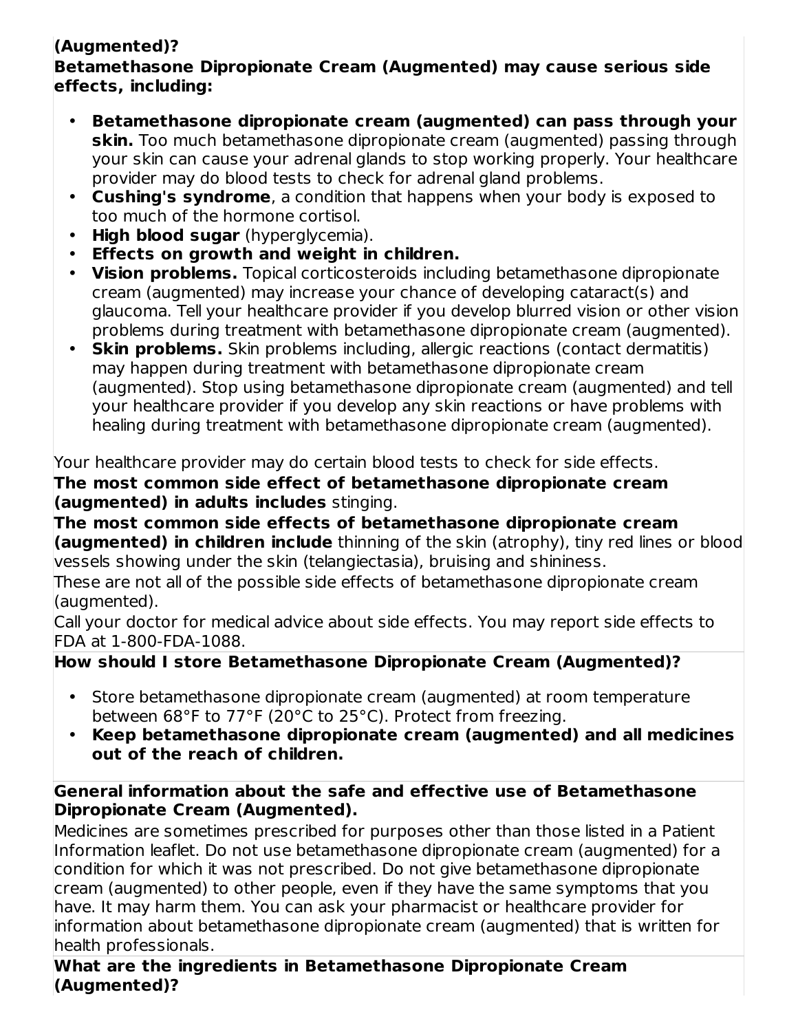# **(Augmented)?**

#### **Betamethasone Dipropionate Cream (Augmented) may cause serious side effects, including:**

- **Betamethasone dipropionate cream (augmented) can pass through your skin.** Too much betamethasone dipropionate cream (augmented) passing through your skin can cause your adrenal glands to stop working properly. Your healthcare provider may do blood tests to check for adrenal gland problems.
- **Cushing's syndrome**, a condition that happens when your body is exposed to too much of the hormone cortisol.
- **High blood sugar** (hyperglycemia).
- **Effects on growth and weight in children.**
- **Vision problems.** Topical corticosteroids including betamethasone dipropionate cream (augmented) may increase your chance of developing cataract(s) and glaucoma. Tell your healthcare provider if you develop blurred vision or other vision problems during treatment with betamethasone dipropionate cream (augmented).
- **Skin problems.** Skin problems including, allergic reactions (contact dermatitis) may happen during treatment with betamethasone dipropionate cream (augmented). Stop using betamethasone dipropionate cream (augmented) and tell your healthcare provider if you develop any skin reactions or have problems with healing during treatment with betamethasone dipropionate cream (augmented).

Your healthcare provider may do certain blood tests to check for side effects.

**The most common side effect of betamethasone dipropionate cream (augmented) in adults includes** stinging.

**The most common side effects of betamethasone dipropionate cream (augmented) in children include** thinning of the skin (atrophy), tiny red lines or blood vessels showing under the skin (telangiectasia), bruising and shininess.

These are not all of the possible side effects of betamethasone dipropionate cream (augmented).

Call your doctor for medical advice about side effects. You may report side effects to FDA at 1-800-FDA-1088.

# **How should I store Betamethasone Dipropionate Cream (Augmented)?**

- Store betamethasone dipropionate cream (augmented) at room temperature between 68°F to 77°F (20°C to 25°C). Protect from freezing.
- **Keep betamethasone dipropionate cream (augmented) and all medicines out of the reach of children.**

#### **General information about the safe and effective use of Betamethasone Dipropionate Cream (Augmented).**

Medicines are sometimes prescribed for purposes other than those listed in a Patient Information leaflet. Do not use betamethasone dipropionate cream (augmented) for a condition for which it was not prescribed. Do not give betamethasone dipropionate cream (augmented) to other people, even if they have the same symptoms that you have. It may harm them. You can ask your pharmacist or healthcare provider for information about betamethasone dipropionate cream (augmented) that is written for health professionals.

**What are the ingredients in Betamethasone Dipropionate Cream (Augmented)?**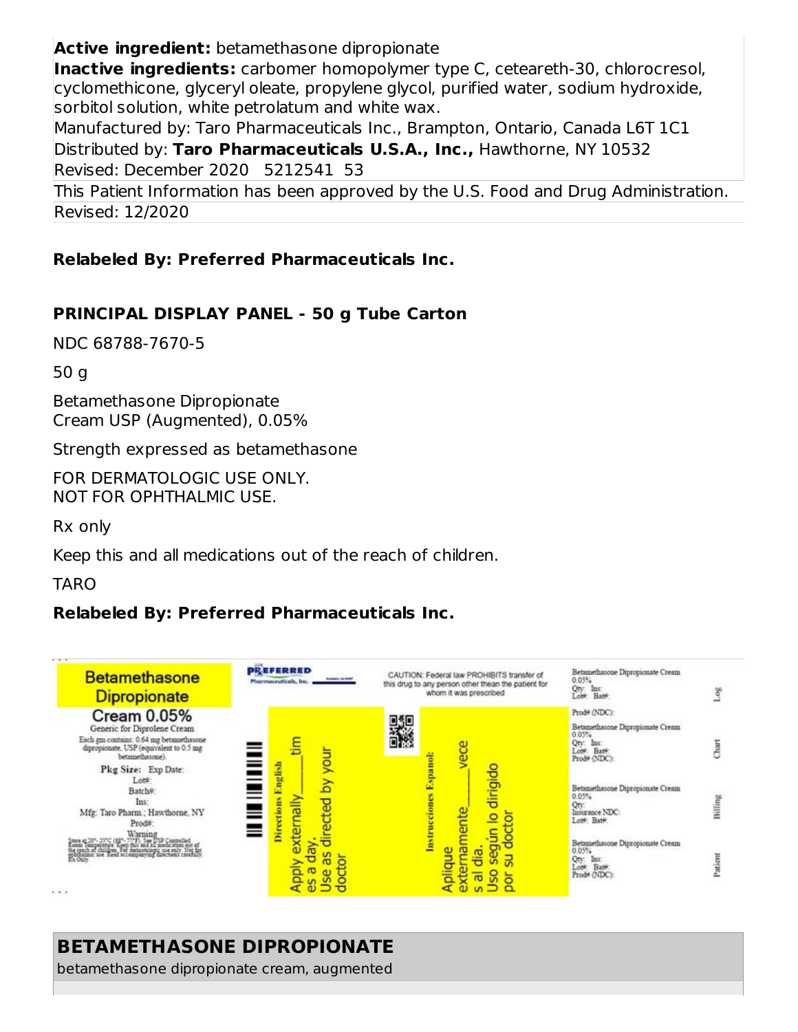**Active ingredient:** betamethasone dipropionate

**Inactive ingredients:** carbomer homopolymer type C, ceteareth-30, chlorocresol, cyclomethicone, glyceryl oleate, propylene glycol, purified water, sodium hydroxide, sorbitol solution, white petrolatum and white wax.

Manufactured by: Taro Pharmaceuticals Inc., Brampton, Ontario, Canada L6T 1C1 Distributed by: **Taro Pharmaceuticals U.S.A., Inc.,** Hawthorne, NY 10532 Revised: December 2020 5212541 53

This Patient Information has been approved by the U.S. Food and Drug Administration. Revised: 12/2020

#### **Relabeled By: Preferred Pharmaceuticals Inc.**

#### **PRINCIPAL DISPLAY PANEL - 50 g Tube Carton**

NDC 68788-7670-5

50 g

Betamethasone Dipropionate Cream USP (Augmented), 0.05%

Strength expressed as betamethasone

FOR DERMATOLOGIC USE ONLY. NOT FOR OPHTHALMIC USE.

Rx only

Keep this and all medications out of the reach of children.

TARO

#### **Relabeled By: Preferred Pharmaceuticals Inc.**



## **BETAMETHASONE DIPROPIONATE**

betamethasone dipropionate cream, augmented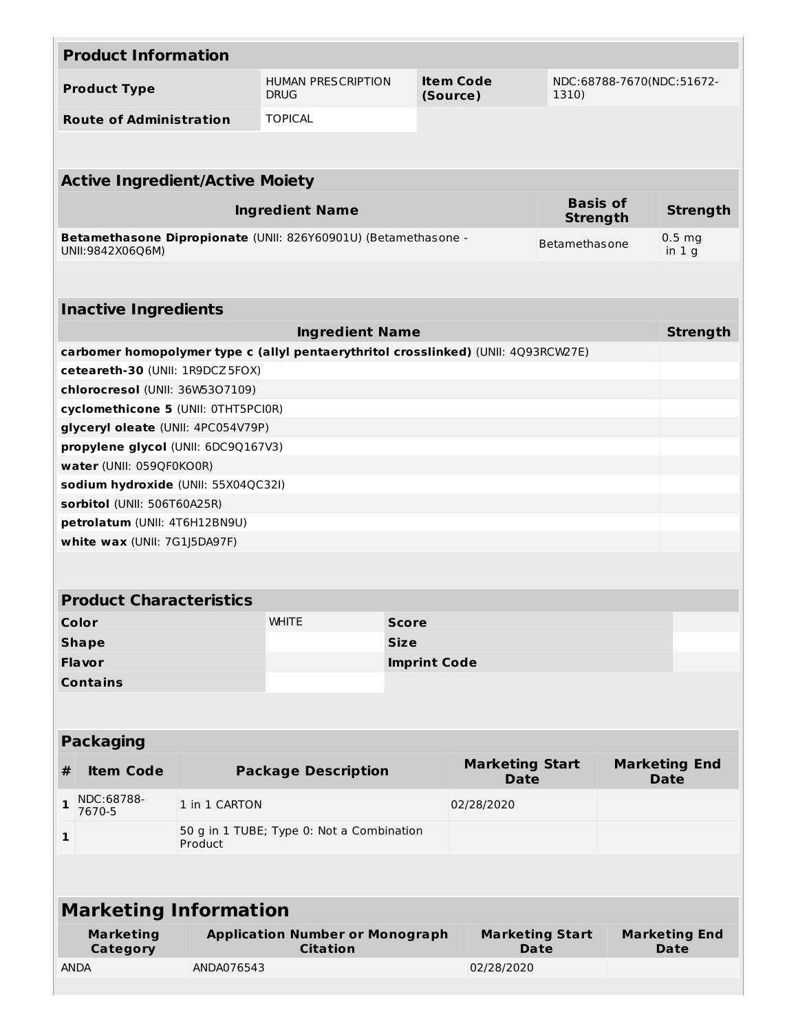|                                                                                    | <b>Product Information</b>          |                                                      |                                                                |                     |                                       |                                    |                 |                                     |  |  |  |
|------------------------------------------------------------------------------------|-------------------------------------|------------------------------------------------------|----------------------------------------------------------------|---------------------|---------------------------------------|------------------------------------|-----------------|-------------------------------------|--|--|--|
|                                                                                    | <b>Product Type</b>                 |                                                      | <b>HUMAN PRESCRIPTION</b><br><b>DRUG</b>                       |                     | <b>Item Code</b><br>(Source)          | NDC:68788-7670(NDC:51672-<br>1310) |                 |                                     |  |  |  |
|                                                                                    | <b>Route of Administration</b>      |                                                      | <b>TOPICAL</b>                                                 |                     |                                       |                                    |                 |                                     |  |  |  |
|                                                                                    |                                     |                                                      |                                                                |                     |                                       |                                    |                 |                                     |  |  |  |
| <b>Active Ingredient/Active Moiety</b>                                             |                                     |                                                      |                                                                |                     |                                       |                                    |                 |                                     |  |  |  |
|                                                                                    |                                     |                                                      | <b>Ingredient Name</b>                                         |                     | <b>Basis of</b><br><b>Strength</b>    |                                    | <b>Strength</b> |                                     |  |  |  |
|                                                                                    | UNII:9842X06Q6M)                    |                                                      | Betamethasone Dipropionate (UNII: 826Y60901U) (Betamethasone - |                     |                                       | Betamethasone                      |                 | 0.5 <sub>mg</sub><br>in $1g$        |  |  |  |
|                                                                                    |                                     |                                                      |                                                                |                     |                                       |                                    |                 |                                     |  |  |  |
| <b>Inactive Ingredients</b>                                                        |                                     |                                                      |                                                                |                     |                                       |                                    |                 |                                     |  |  |  |
|                                                                                    | <b>Ingredient Name</b>              |                                                      |                                                                |                     |                                       |                                    |                 | <b>Strength</b>                     |  |  |  |
| carbomer homopolymer type c (allyl pentaerythritol crosslinked) (UNII: 4Q93RCW27E) |                                     |                                                      |                                                                |                     |                                       |                                    |                 |                                     |  |  |  |
| ceteareth-30 (UNII: 1R9DCZ 5FOX)                                                   |                                     |                                                      |                                                                |                     |                                       |                                    |                 |                                     |  |  |  |
| chlorocresol (UNII: 36W53O7109)                                                    |                                     |                                                      |                                                                |                     |                                       |                                    |                 |                                     |  |  |  |
| cyclomethicone 5 (UNII: OTHT5PCIOR)                                                |                                     |                                                      |                                                                |                     |                                       |                                    |                 |                                     |  |  |  |
| glyceryl oleate (UNII: 4PC054V79P)<br>propylene glycol (UNII: 6DC9Q167V3)          |                                     |                                                      |                                                                |                     |                                       |                                    |                 |                                     |  |  |  |
| water (UNII: 059QF0KO0R)                                                           |                                     |                                                      |                                                                |                     |                                       |                                    |                 |                                     |  |  |  |
| sodium hydroxide (UNII: 55X04QC32I)                                                |                                     |                                                      |                                                                |                     |                                       |                                    |                 |                                     |  |  |  |
| sorbitol (UNII: 506T60A25R)                                                        |                                     |                                                      |                                                                |                     |                                       |                                    |                 |                                     |  |  |  |
| petrolatum (UNII: 4T6H12BN9U)                                                      |                                     |                                                      |                                                                |                     |                                       |                                    |                 |                                     |  |  |  |
| white wax (UNII: 7G1J5DA97F)                                                       |                                     |                                                      |                                                                |                     |                                       |                                    |                 |                                     |  |  |  |
|                                                                                    |                                     |                                                      |                                                                |                     |                                       |                                    |                 |                                     |  |  |  |
| <b>Product Characteristics</b>                                                     |                                     |                                                      |                                                                |                     |                                       |                                    |                 |                                     |  |  |  |
| Color                                                                              |                                     |                                                      | White                                                          | <b>Score</b>        |                                       |                                    |                 |                                     |  |  |  |
| <b>Shape</b>                                                                       |                                     |                                                      |                                                                | <b>Size</b>         |                                       |                                    |                 |                                     |  |  |  |
| Flavor                                                                             |                                     |                                                      |                                                                | <b>Imprint Code</b> |                                       |                                    |                 |                                     |  |  |  |
| <b>Contains</b>                                                                    |                                     |                                                      |                                                                |                     |                                       |                                    |                 |                                     |  |  |  |
|                                                                                    |                                     |                                                      |                                                                |                     |                                       |                                    |                 |                                     |  |  |  |
|                                                                                    | <b>Packaging</b>                    |                                                      |                                                                |                     |                                       |                                    |                 |                                     |  |  |  |
| #                                                                                  | <b>Item Code</b>                    |                                                      | <b>Package Description</b>                                     |                     | <b>Marketing Start</b><br><b>Date</b> |                                    |                 | <b>Marketing End</b><br><b>Date</b> |  |  |  |
| 1                                                                                  | NDC:68788-<br>7670-5                | 1 in 1 CARTON                                        |                                                                |                     | 02/28/2020                            |                                    |                 |                                     |  |  |  |
| 1                                                                                  |                                     | 50 g in 1 TUBE; Type 0: Not a Combination<br>Product |                                                                |                     |                                       |                                    |                 |                                     |  |  |  |
|                                                                                    |                                     |                                                      |                                                                |                     |                                       |                                    |                 |                                     |  |  |  |
| <b>Marketing Information</b>                                                       |                                     |                                                      |                                                                |                     |                                       |                                    |                 |                                     |  |  |  |
|                                                                                    | <b>Marketing</b><br><b>Category</b> |                                                      | <b>Application Number or Monograph</b><br><b>Citation</b>      |                     | <b>Marketing Start</b><br><b>Date</b> |                                    |                 | <b>Marketing End</b><br>Date        |  |  |  |
|                                                                                    | <b>ANDA</b>                         | ANDA076543                                           |                                                                |                     | 02/28/2020                            |                                    |                 |                                     |  |  |  |
|                                                                                    |                                     |                                                      |                                                                |                     |                                       |                                    |                 |                                     |  |  |  |